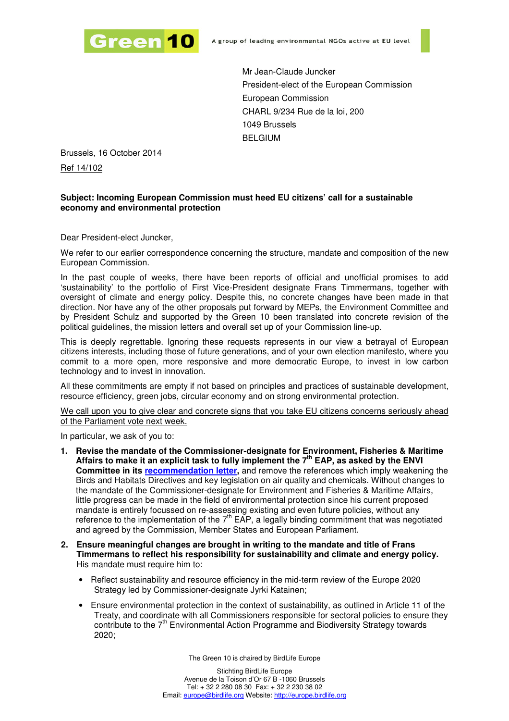

Mr Jean-Claude Juncker President-elect of the European Commission European Commission CHARL 9/234 Rue de la loi, 200 1049 Brussels BELGIUM

Brussels, 16 October 2014

Ref 14/102

## **Subject: Incoming European Commission must heed EU citizens' call for a sustainable economy and environmental protection**

Dear President-elect Juncker,

We refer to our earlier correspondence concerning the structure, mandate and composition of the new European Commission.

In the past couple of weeks, there have been reports of official and unofficial promises to add 'sustainability' to the portfolio of First Vice-President designate Frans Timmermans, together with oversight of climate and energy policy. Despite this, no concrete changes have been made in that direction. Nor have any of the other proposals put forward by MEPs, the Environment Committee and by President Schulz and supported by the Green 10 been translated into concrete revision of the political guidelines, the mission letters and overall set up of your Commission line-up.

This is deeply regrettable. Ignoring these requests represents in our view a betrayal of European citizens interests, including those of future generations, and of your own election manifesto, where you commit to a more open, more responsive and more democratic Europe, to invest in low carbon technology and to invest in innovation.

All these commitments are empty if not based on principles and practices of sustainable development, resource efficiency, green jobs, circular economy and on strong environmental protection.

We call upon you to give clear and concrete signs that you take EU citizens concerns seriously ahead of the Parliament vote next week.

In particular, we ask of you to:

- **1. Revise the mandate of the Commissioner-designate for Environment, Fisheries & Maritime Affairs to make it an explicit task to fully implement the 7th EAP, as asked by the ENVI Committee in its recommendation letter,** and remove the references which imply weakening the Birds and Habitats Directives and key legislation on air quality and chemicals. Without changes to the mandate of the Commissioner-designate for Environment and Fisheries & Maritime Affairs, little progress can be made in the field of environmental protection since his current proposed mandate is entirely focussed on re-assessing existing and even future policies, without any reference to the implementation of the  $7<sup>th</sup>$  EAP, a legally binding commitment that was negotiated and agreed by the Commission, Member States and European Parliament.
- **2. Ensure meaningful changes are brought in writing to the mandate and title of Frans Timmermans to reflect his responsibility for sustainability and climate and energy policy.**  His mandate must require him to:
	- Reflect sustainability and resource efficiency in the mid-term review of the Europe 2020 Strategy led by Commissioner-designate Jyrki Katainen;
	- Ensure environmental protection in the context of sustainability, as outlined in Article 11 of the Treaty, and coordinate with all Commissioners responsible for sectoral policies to ensure they contribute to the 7<sup>th</sup> Environmental Action Programme and Biodiversity Strategy towards 2020;

The Green 10 is chaired by BirdLife Europe